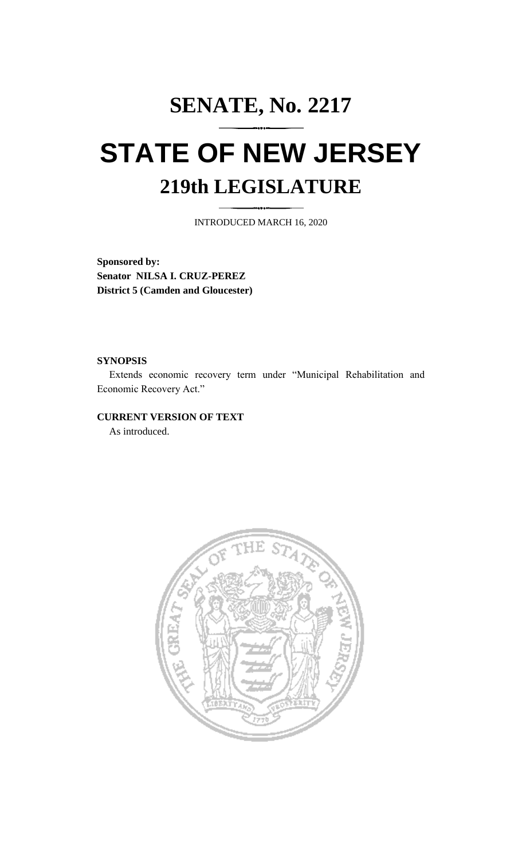## **SENATE, No. 2217 STATE OF NEW JERSEY 219th LEGISLATURE**

INTRODUCED MARCH 16, 2020

**Sponsored by: Senator NILSA I. CRUZ-PEREZ District 5 (Camden and Gloucester)**

## **SYNOPSIS**

Extends economic recovery term under "Municipal Rehabilitation and Economic Recovery Act."

## **CURRENT VERSION OF TEXT**

As introduced.

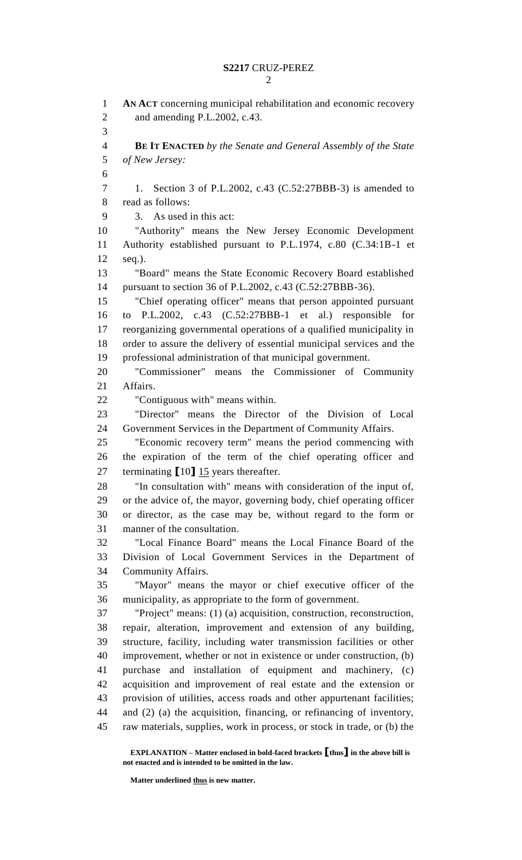**AN ACT** concerning municipal rehabilitation and economic recovery and amending P.L.2002, c.43. **BE IT ENACTED** *by the Senate and General Assembly of the State of New Jersey:* 1. Section 3 of P.L.2002, c.43 (C.52:27BBB-3) is amended to read as follows: 3. As used in this act: "Authority" means the New Jersey Economic Development Authority established pursuant to P.L.1974, c.80 (C.34:1B-1 et seq.). "Board" means the State Economic Recovery Board established pursuant to section 36 of P.L.2002, c.43 (C.52:27BBB-36). "Chief operating officer" means that person appointed pursuant to P.L.2002, c.43 (C.52:27BBB-1 et al.) responsible for reorganizing governmental operations of a qualified municipality in order to assure the delivery of essential municipal services and the professional administration of that municipal government. "Commissioner" means the Commissioner of Community Affairs. "Contiguous with" means within. "Director" means the Director of the Division of Local Government Services in the Department of Community Affairs. "Economic recovery term" means the period commencing with the expiration of the term of the chief operating officer and terminating **[**10**]** 15 years thereafter. "In consultation with" means with consideration of the input of, or the advice of, the mayor, governing body, chief operating officer or director, as the case may be, without regard to the form or manner of the consultation. "Local Finance Board" means the Local Finance Board of the Division of Local Government Services in the Department of Community Affairs. "Mayor" means the mayor or chief executive officer of the municipality, as appropriate to the form of government. "Project" means: (1) (a) acquisition, construction, reconstruction, repair, alteration, improvement and extension of any building, structure, facility, including water transmission facilities or other improvement, whether or not in existence or under construction, (b) purchase and installation of equipment and machinery, (c) acquisition and improvement of real estate and the extension or provision of utilities, access roads and other appurtenant facilities; and (2) (a) the acquisition, financing, or refinancing of inventory, raw materials, supplies, work in process, or stock in trade, or (b) the

**EXPLANATION – Matter enclosed in bold-faced brackets [thus] in the above bill is not enacted and is intended to be omitted in the law.**

**Matter underlined thus is new matter.**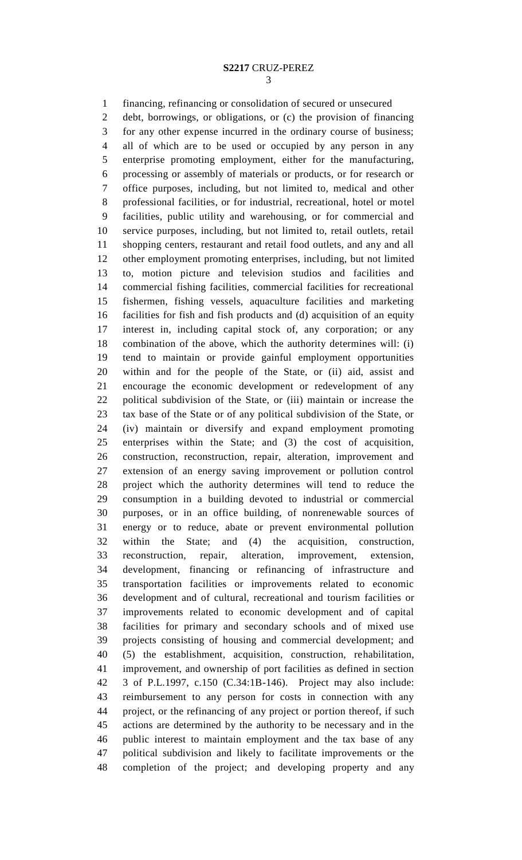financing, refinancing or consolidation of secured or unsecured

 debt, borrowings, or obligations, or (c) the provision of financing for any other expense incurred in the ordinary course of business; all of which are to be used or occupied by any person in any enterprise promoting employment, either for the manufacturing, processing or assembly of materials or products, or for research or office purposes, including, but not limited to, medical and other professional facilities, or for industrial, recreational, hotel or motel facilities, public utility and warehousing, or for commercial and service purposes, including, but not limited to, retail outlets, retail shopping centers, restaurant and retail food outlets, and any and all other employment promoting enterprises, including, but not limited to, motion picture and television studios and facilities and commercial fishing facilities, commercial facilities for recreational fishermen, fishing vessels, aquaculture facilities and marketing facilities for fish and fish products and (d) acquisition of an equity interest in, including capital stock of, any corporation; or any combination of the above, which the authority determines will: (i) tend to maintain or provide gainful employment opportunities within and for the people of the State, or (ii) aid, assist and encourage the economic development or redevelopment of any political subdivision of the State, or (iii) maintain or increase the tax base of the State or of any political subdivision of the State, or (iv) maintain or diversify and expand employment promoting enterprises within the State; and (3) the cost of acquisition, construction, reconstruction, repair, alteration, improvement and extension of an energy saving improvement or pollution control project which the authority determines will tend to reduce the consumption in a building devoted to industrial or commercial purposes, or in an office building, of nonrenewable sources of energy or to reduce, abate or prevent environmental pollution within the State; and (4) the acquisition, construction, reconstruction, repair, alteration, improvement, extension, development, financing or refinancing of infrastructure and transportation facilities or improvements related to economic development and of cultural, recreational and tourism facilities or improvements related to economic development and of capital facilities for primary and secondary schools and of mixed use projects consisting of housing and commercial development; and (5) the establishment, acquisition, construction, rehabilitation, improvement, and ownership of port facilities as defined in section 3 of P.L.1997, c.150 (C.34:1B-146). Project may also include: reimbursement to any person for costs in connection with any project, or the refinancing of any project or portion thereof, if such actions are determined by the authority to be necessary and in the public interest to maintain employment and the tax base of any political subdivision and likely to facilitate improvements or the completion of the project; and developing property and any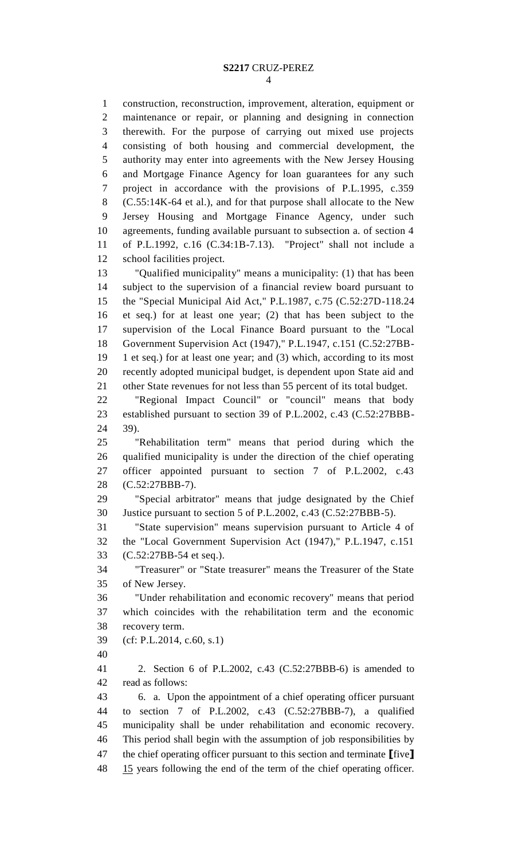construction, reconstruction, improvement, alteration, equipment or maintenance or repair, or planning and designing in connection therewith. For the purpose of carrying out mixed use projects consisting of both housing and commercial development, the authority may enter into agreements with the New Jersey Housing and Mortgage Finance Agency for loan guarantees for any such project in accordance with the provisions of P.L.1995, c.359 (C.55:14K-64 et al.), and for that purpose shall allocate to the New Jersey Housing and Mortgage Finance Agency, under such agreements, funding available pursuant to subsection a. of section 4 of P.L.1992, c.16 (C.34:1B-7.13). "Project" shall not include a school facilities project. "Qualified municipality" means a municipality: (1) that has been subject to the supervision of a financial review board pursuant to the "Special Municipal Aid Act," P.L.1987, c.75 (C.52:27D-118.24 et seq.) for at least one year; (2) that has been subject to the supervision of the Local Finance Board pursuant to the "Local Government Supervision Act (1947)," P.L.1947, c.151 (C.52:27BB- 1 et seq.) for at least one year; and (3) which, according to its most recently adopted municipal budget, is dependent upon State aid and other State revenues for not less than 55 percent of its total budget.

 "Regional Impact Council" or "council" means that body established pursuant to section 39 of P.L.2002, c.43 (C.52:27BBB-39).

 "Rehabilitation term" means that period during which the qualified municipality is under the direction of the chief operating officer appointed pursuant to section 7 of P.L.2002, c.43 (C.52:27BBB-7).

 "Special arbitrator" means that judge designated by the Chief Justice pursuant to section 5 of P.L.2002, c.43 (C.52:27BBB-5).

 "State supervision" means supervision pursuant to Article 4 of the "Local Government Supervision Act (1947)," P.L.1947, c.151 (C.52:27BB-54 et seq.).

 "Treasurer" or "State treasurer" means the Treasurer of the State of New Jersey.

 "Under rehabilitation and economic recovery" means that period which coincides with the rehabilitation term and the economic recovery term.

- (cf: P.L.2014, c.60, s.1)
- 

 2. Section 6 of P.L.2002, c.43 (C.52:27BBB-6) is amended to read as follows:

 6. a. Upon the appointment of a chief operating officer pursuant to section 7 of P.L.2002, c.43 (C.52:27BBB-7), a qualified municipality shall be under rehabilitation and economic recovery. This period shall begin with the assumption of job responsibilities by the chief operating officer pursuant to this section and terminate **[**five**]** 48 15 years following the end of the term of the chief operating officer.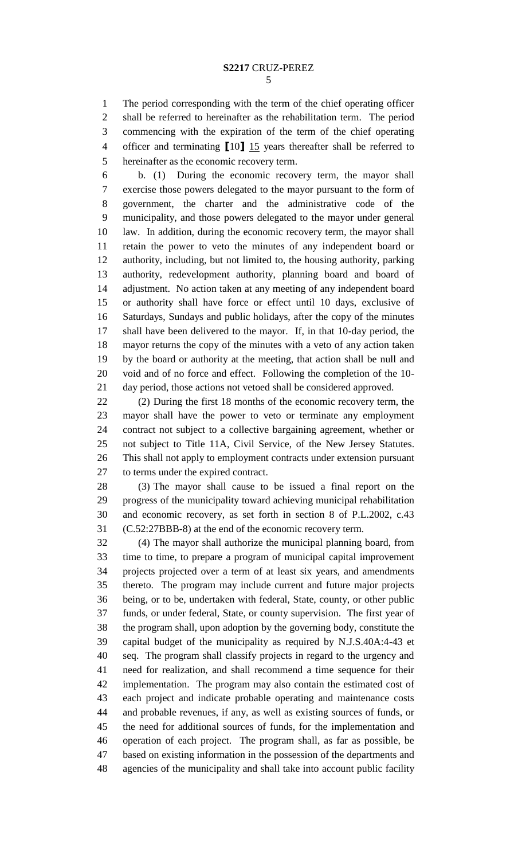The period corresponding with the term of the chief operating officer shall be referred to hereinafter as the rehabilitation term. The period commencing with the expiration of the term of the chief operating officer and terminating **[**10**]** 15 years thereafter shall be referred to hereinafter as the economic recovery term.

 b. (1) During the economic recovery term, the mayor shall exercise those powers delegated to the mayor pursuant to the form of government, the charter and the administrative code of the municipality, and those powers delegated to the mayor under general law. In addition, during the economic recovery term, the mayor shall retain the power to veto the minutes of any independent board or authority, including, but not limited to, the housing authority, parking authority, redevelopment authority, planning board and board of adjustment. No action taken at any meeting of any independent board or authority shall have force or effect until 10 days, exclusive of Saturdays, Sundays and public holidays, after the copy of the minutes shall have been delivered to the mayor. If, in that 10-day period, the mayor returns the copy of the minutes with a veto of any action taken by the board or authority at the meeting, that action shall be null and void and of no force and effect. Following the completion of the 10- day period, those actions not vetoed shall be considered approved.

 (2) During the first 18 months of the economic recovery term, the mayor shall have the power to veto or terminate any employment contract not subject to a collective bargaining agreement, whether or not subject to Title 11A, Civil Service, of the New Jersey Statutes. This shall not apply to employment contracts under extension pursuant to terms under the expired contract.

 (3) The mayor shall cause to be issued a final report on the progress of the municipality toward achieving municipal rehabilitation and economic recovery, as set forth in section 8 of P.L.2002, c.43 (C.52:27BBB-8) at the end of the economic recovery term.

 (4) The mayor shall authorize the municipal planning board, from time to time, to prepare a program of municipal capital improvement projects projected over a term of at least six years, and amendments thereto. The program may include current and future major projects being, or to be, undertaken with federal, State, county, or other public funds, or under federal, State, or county supervision. The first year of the program shall, upon adoption by the governing body, constitute the capital budget of the municipality as required by N.J.S.40A:4-43 et seq. The program shall classify projects in regard to the urgency and need for realization, and shall recommend a time sequence for their implementation. The program may also contain the estimated cost of each project and indicate probable operating and maintenance costs and probable revenues, if any, as well as existing sources of funds, or the need for additional sources of funds, for the implementation and operation of each project. The program shall, as far as possible, be based on existing information in the possession of the departments and agencies of the municipality and shall take into account public facility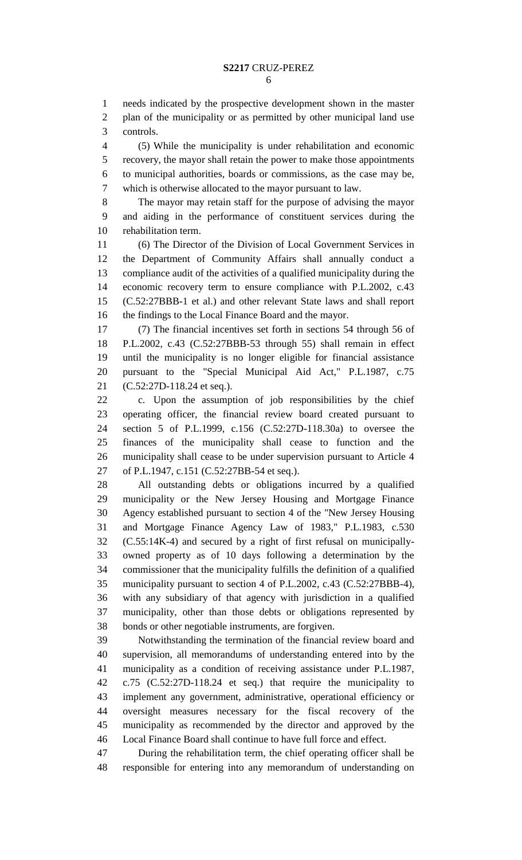needs indicated by the prospective development shown in the master plan of the municipality or as permitted by other municipal land use controls.

 (5) While the municipality is under rehabilitation and economic recovery, the mayor shall retain the power to make those appointments to municipal authorities, boards or commissions, as the case may be, which is otherwise allocated to the mayor pursuant to law.

 The mayor may retain staff for the purpose of advising the mayor and aiding in the performance of constituent services during the rehabilitation term.

 (6) The Director of the Division of Local Government Services in the Department of Community Affairs shall annually conduct a compliance audit of the activities of a qualified municipality during the economic recovery term to ensure compliance with P.L.2002, c.43 (C.52:27BBB-1 et al.) and other relevant State laws and shall report the findings to the Local Finance Board and the mayor.

 (7) The financial incentives set forth in sections 54 through 56 of P.L.2002, c.43 (C.52:27BBB-53 through 55) shall remain in effect until the municipality is no longer eligible for financial assistance pursuant to the "Special Municipal Aid Act," P.L.1987, c.75 (C.52:27D-118.24 et seq.).

 c. Upon the assumption of job responsibilities by the chief operating officer, the financial review board created pursuant to section 5 of P.L.1999, c.156 (C.52:27D-118.30a) to oversee the finances of the municipality shall cease to function and the municipality shall cease to be under supervision pursuant to Article 4 of P.L.1947, c.151 (C.52:27BB-54 et seq.).

 All outstanding debts or obligations incurred by a qualified municipality or the New Jersey Housing and Mortgage Finance Agency established pursuant to section 4 of the "New Jersey Housing and Mortgage Finance Agency Law of 1983," P.L.1983, c.530 (C.55:14K-4) and secured by a right of first refusal on municipally- owned property as of 10 days following a determination by the commissioner that the municipality fulfills the definition of a qualified municipality pursuant to section 4 of P.L.2002, c.43 (C.52:27BBB-4), with any subsidiary of that agency with jurisdiction in a qualified municipality, other than those debts or obligations represented by bonds or other negotiable instruments, are forgiven.

 Notwithstanding the termination of the financial review board and supervision, all memorandums of understanding entered into by the municipality as a condition of receiving assistance under P.L.1987, c.75 (C.52:27D-118.24 et seq.) that require the municipality to implement any government, administrative, operational efficiency or oversight measures necessary for the fiscal recovery of the municipality as recommended by the director and approved by the Local Finance Board shall continue to have full force and effect.

 During the rehabilitation term, the chief operating officer shall be responsible for entering into any memorandum of understanding on